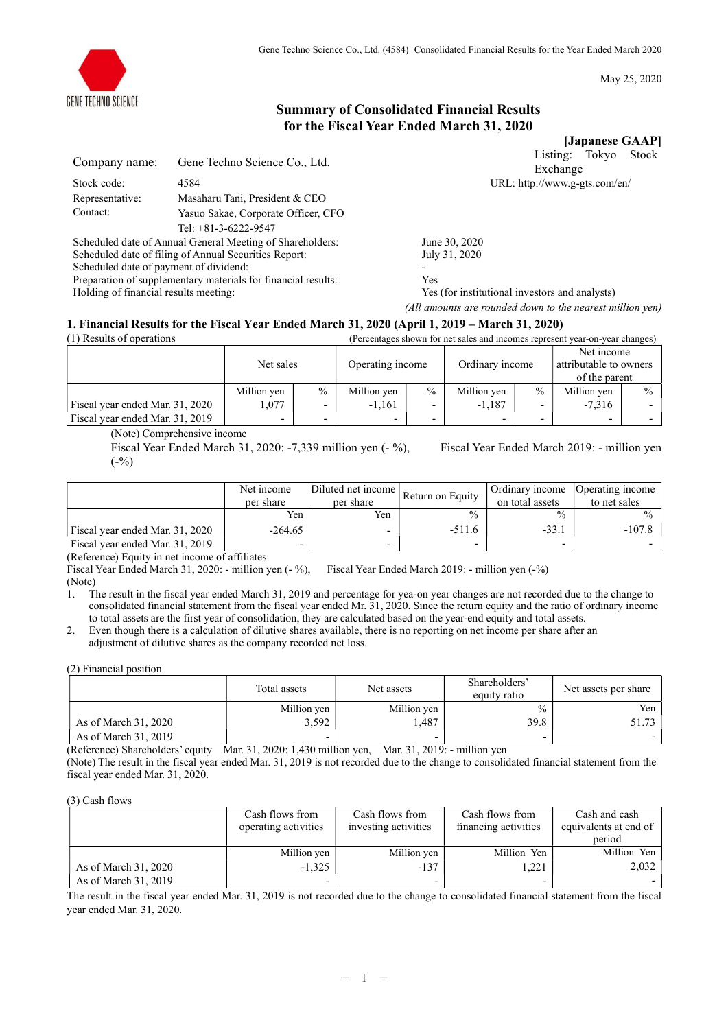

May 25, 2020

# Summary of Consolidated Financial Results for the Fiscal Year Ended March 31, 2020

[Japanese GAAP] Listing: Tokyo Stock

| Gene Techno Science Co., Ltd.       |
|-------------------------------------|
| 4584                                |
| Masaharu Tani, President & CEO      |
| Yasuo Sakae, Corporate Officer, CFO |
| Tel: $+81-3-6222-9547$              |
|                                     |

Scheduled date of Annual General Meeting of Shareholders: June 30, 2020 Scheduled date of filing of Annual Securities Report: July 31, 2020 Scheduled date of payment of dividend:<br>
Preparation of supplementary materials for financial results:  $\gamma$  Yes Preparation of supplementary materials for financial results: Holding of financial results meeting: Yes (for institutional investors and analysts)

Exchange URL: http://www.g-gts.com/en/

(All amounts are rounded down to the nearest million yen)

# 1. Financial Results for the Fiscal Year Ended March 31, 2020 (April 1, 2019 – March 31, 2020)

| (1) Results of operations       |             |                          |             |                  | (Percentages shown for net sales and incomes represent year-on-year changes) |                                                         |                          |               |
|---------------------------------|-------------|--------------------------|-------------|------------------|------------------------------------------------------------------------------|---------------------------------------------------------|--------------------------|---------------|
|                                 |             | Net sales                |             | Operating income |                                                                              | Net income<br>attributable to owners<br>Ordinary income |                          |               |
|                                 |             |                          |             |                  |                                                                              |                                                         | of the parent            |               |
|                                 | Million yen | $\%$                     | Million yen | $\frac{0}{0}$    | Million yen                                                                  | $\frac{0}{0}$                                           | Million yen              | $\frac{0}{0}$ |
| Fiscal year ended Mar. 31, 2020 | .077        | $\overline{\phantom{0}}$ | $-1.161$    | -                | $-1.187$                                                                     |                                                         | $-7.316$                 |               |
| Fiscal year ended Mar. 31, 2019 |             | $\overline{\phantom{0}}$ |             |                  |                                                                              |                                                         | $\overline{\phantom{0}}$ |               |

(Note) Comprehensive income

Fiscal Year Ended March 31, 2020: -7,339 million yen (- %), Fiscal Year Ended March 2019: - million yen  $(-\%)$ 

|                                 | Net income<br>per share | Diluted net income<br>per share | Return on Equity | Ordinary income<br>on total assets | Operating income<br>to net sales |
|---------------------------------|-------------------------|---------------------------------|------------------|------------------------------------|----------------------------------|
|                                 | Yen                     | Yen                             |                  | $\frac{0}{0}$                      |                                  |
| Fiscal year ended Mar. 31, 2020 | $-264.65$               |                                 | $-511.6$         | $-33.1$                            | $-107.8$                         |
| Fiscal year ended Mar. 31, 2019 |                         | $\overline{\phantom{0}}$        |                  | -                                  |                                  |

(Reference) Equity in net income of affiliates

Fiscal Year Ended March 31, 2020: - million yen (- %), Fiscal Year Ended March 2019: - million yen (-%) (Note)

1. The result in the fiscal year ended March 31, 2019 and percentage for yea-on year changes are not recorded due to the change to consolidated financial statement from the fiscal year ended Mr. 31, 2020. Since the return equity and the ratio of ordinary income to total assets are the first year of consolidation, they are calculated based on the year-end equity and total assets.

2. Even though there is a calculation of dilutive shares available, there is no reporting on net income per share after an adjustment of dilutive shares as the company recorded net loss.

(2) Financial position

|                      | Total assets | Net assets  | Shareholders'<br>equity ratio | Net assets per share |
|----------------------|--------------|-------------|-------------------------------|----------------------|
|                      | Million yen  | Million yen | $\frac{0}{0}$                 | Yen                  |
| As of March 31, 2020 | 3,592        | .487        | 39.8                          | 51.73                |
| As of March 31, 2019 |              |             | -                             |                      |

(Reference) Shareholders' equity Mar. 31, 2020: 1,430 million yen, Mar. 31, 2019: - million yen (Note) The result in the fiscal year ended Mar. 31, 2019 is not recorded due to the change to consolidated financial statement from the fiscal year ended Mar. 31, 2020.

### (3) Cash flows

|                      | Cash flows from      | Cash flows from          | Cash flows from      | Cash and cash         |
|----------------------|----------------------|--------------------------|----------------------|-----------------------|
|                      | operating activities | investing activities     | financing activities | equivalents at end of |
|                      |                      |                          |                      | period                |
|                      | Million yen          | Million yen              | Million Yen          | Million Yen           |
| As of March 31, 2020 | $-1.325$             | $-137$                   | 1.221                | 2,032                 |
| As of March 31, 2019 |                      | $\overline{\phantom{0}}$ | -                    |                       |

The result in the fiscal year ended Mar. 31, 2019 is not recorded due to the change to consolidated financial statement from the fiscal year ended Mar. 31, 2020.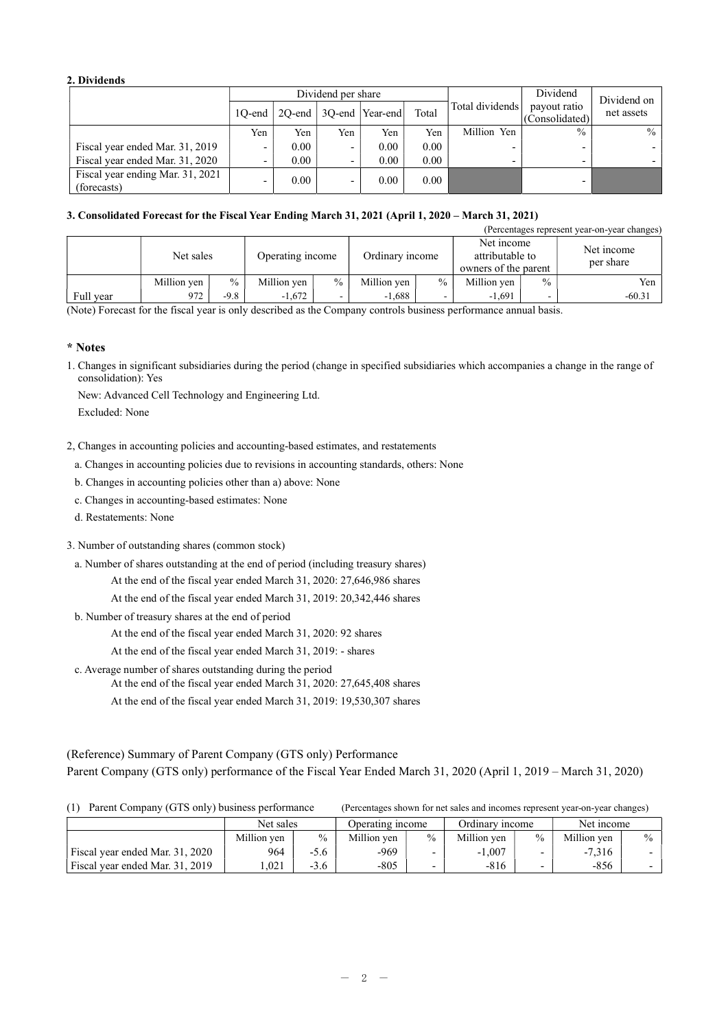# 2. Dividends

|                                                 |           |                   | Dividend per share |                               |       | Dividend        | Dividend on                    |            |
|-------------------------------------------------|-----------|-------------------|--------------------|-------------------------------|-------|-----------------|--------------------------------|------------|
|                                                 | $10$ -end |                   |                    | $2Q$ -end   3Q-end   Year-end | Total | Total dividends | payout ratio<br>(Consolidated) | net assets |
|                                                 | Yen       | Yen               | Yen                | Yen                           | Yen   | Million Yen     | $\frac{0}{0}$                  | $\%$       |
| Fiscal year ended Mar. 31, 2019                 |           | 0.00              | -                  | 0.00                          | 0.00  | -               |                                |            |
| Fiscal year ended Mar. 31, 2020                 |           | 0.00              |                    | 0.00                          | 0.00  | -               |                                |            |
| Fiscal year ending Mar. 31, 2021<br>(forecasts) |           | 0.00 <sub>1</sub> | -                  | 0.00                          | 0.00  |                 |                                |            |

# 3. Consolidated Forecast for the Fiscal Year Ending March 31, 2021 (April 1, 2020 – March 31, 2021)

|           |             |               |                  |      |                 |               |                                                       |               | (Percentages represent year-on-year changes) |
|-----------|-------------|---------------|------------------|------|-----------------|---------------|-------------------------------------------------------|---------------|----------------------------------------------|
|           | Net sales   |               | Operating income |      | Ordinary income |               | Net income<br>attributable to<br>owners of the parent |               | Net income<br>per share                      |
|           | Million yen | $\frac{0}{0}$ | Million yen      | $\%$ | Million yen     | $\frac{0}{0}$ | Million ven                                           | $\frac{0}{0}$ | Yen                                          |
| Full year | 972         | $-9.8$        | $-1.672$         | -    | $-1,688$        |               | $-1.691$                                              |               | $-60.31$                                     |

(Note) Forecast for the fiscal year is only described as the Company controls business performance annual basis.

# \* Notes

1. Changes in significant subsidiaries during the period (change in specified subsidiaries which accompanies a change in the range of consolidation): Yes

New: Advanced Cell Technology and Engineering Ltd.

Excluded: None

- 2, Changes in accounting policies and accounting-based estimates, and restatements
	- a. Changes in accounting policies due to revisions in accounting standards, others: None
	- b. Changes in accounting policies other than a) above: None
	- c. Changes in accounting-based estimates: None
	- d. Restatements: None
- 3. Number of outstanding shares (common stock)
	- a. Number of shares outstanding at the end of period (including treasury shares)
		- At the end of the fiscal year ended March 31, 2020: 27,646,986 shares

At the end of the fiscal year ended March 31, 2019: 20,342,446 shares

b. Number of treasury shares at the end of period

At the end of the fiscal year ended March 31, 2020: 92 shares

- At the end of the fiscal year ended March 31, 2019: shares
- c. Average number of shares outstanding during the period
	- At the end of the fiscal year ended March 31, 2020: 27,645,408 shares
	- At the end of the fiscal year ended March 31, 2019: 19,530,307 shares

(1)  $P_{\text{current}}$  Company (GTS only) business performance  $P_{\text{test}}$  to  $1 - S$  changes  $1 - 1$ .

(Reference) Summary of Parent Company (GTS only) Performance Parent Company (GTS only) performance of the Fiscal Year Ended March 31, 2020 (April 1, 2019 – March 31, 2020)

| 1 L L<br>Parent Company (GTS only) business performance |             |        | (Percentages shown for het sales and incomes represent vear-on-vear changes) |               |                 |               |             |               |
|---------------------------------------------------------|-------------|--------|------------------------------------------------------------------------------|---------------|-----------------|---------------|-------------|---------------|
|                                                         | Net sales   |        | Operating income                                                             |               | Ordinary income |               | Net income  |               |
|                                                         | Million ven | $\%$   | Million ven                                                                  | $\frac{0}{0}$ | Million ven     | $\frac{0}{0}$ | Million ven | $\frac{0}{0}$ |
| Fiscal year ended Mar. 31, 2020                         | 964         | -5.6   | -969                                                                         |               | $-1.007$        |               | $-7.316$    |               |
| Fiscal year ended Mar. 31, 2019                         | .021        | $-3.6$ | $-805$                                                                       |               | $-816$          |               | -856        |               |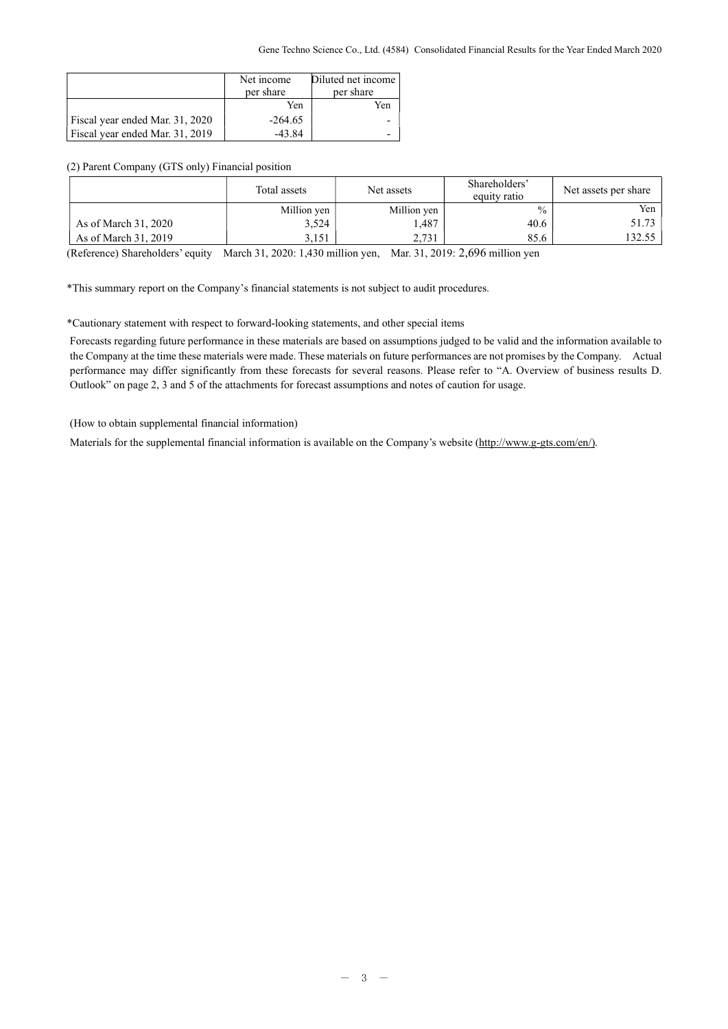|                                 | Net income<br>per share | Diluted net income<br>per share |
|---------------------------------|-------------------------|---------------------------------|
|                                 | Yen                     | Yen                             |
| Fiscal year ended Mar. 31, 2020 | $-264.65$               |                                 |
| Fiscal year ended Mar. 31, 2019 | $-43.84$                |                                 |

# (2) Parent Company (GTS only) Financial position

|                      | Total assets | Net assets  | Shareholders'<br>equity ratio | Net assets per share |  |  |  |
|----------------------|--------------|-------------|-------------------------------|----------------------|--|--|--|
|                      | Million yen  | Million yen | $\frac{0}{0}$                 | Yen 1                |  |  |  |
| As of March 31, 2020 | 3,524        | 1,487       | 40.6                          | 51.73                |  |  |  |
| As of March 31, 2019 | 3.151        | 2.731       | 85.6                          | 32.55                |  |  |  |
| . <b>.</b><br>.      |              |             |                               |                      |  |  |  |

(Reference) Shareholders' equity March 31, 2020: 1,430 million yen, Mar. 31, 2019: 2,696 million yen

\*This summary report on the Company's financial statements is not subject to audit procedures.

### \*Cautionary statement with respect to forward-looking statements, and other special items

Forecasts regarding future performance in these materials are based on assumptions judged to be valid and the information available to the Company at the time these materials were made. These materials on future performances are not promises by the Company. Actual performance may differ significantly from these forecasts for several reasons. Please refer to "A. Overview of business results D. Outlook" on page 2, 3 and 5 of the attachments for forecast assumptions and notes of caution for usage.

(How to obtain supplemental financial information)

Materials for the supplemental financial information is available on the Company's website (http://www.g-gts.com/en/).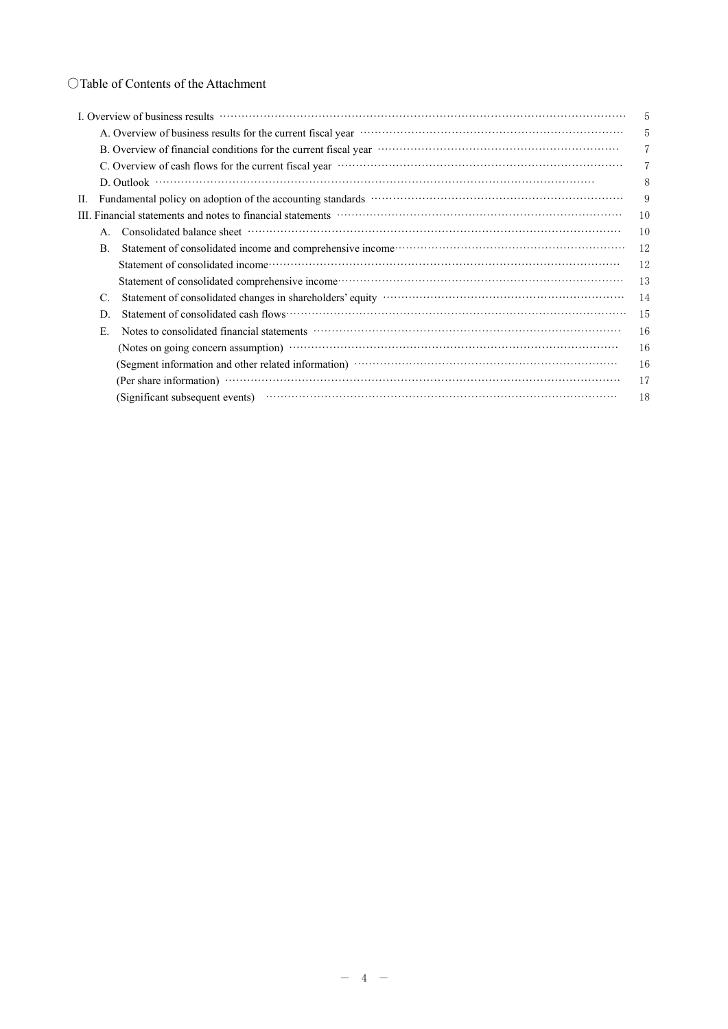|    | L. Overview of business results                                                                                                                                                                                                | 5  |  |  |  |  |  |
|----|--------------------------------------------------------------------------------------------------------------------------------------------------------------------------------------------------------------------------------|----|--|--|--|--|--|
|    | A. Overview of business results for the current fiscal year manufactured contains and the state of the current fiscal year manufactured and the state of the current fiscal year.<br>5                                         |    |  |  |  |  |  |
|    | B. Overview of financial conditions for the current fiscal year manufactured conditions of the current fiscal year manufactured with the set of the current fiscal year.                                                       |    |  |  |  |  |  |
|    | C. Overview of cash flows for the current fiscal year manufactured control of the current fiscal year manufactured control of the current fiscal year manufactured control of the current fiscal year.                         |    |  |  |  |  |  |
|    |                                                                                                                                                                                                                                | 8  |  |  |  |  |  |
| П. | Fundamental policy on adoption of the accounting standards manufactured contains and policy on adoption of the accounting standards manufactured contains and policy on adoption of the accounting standards                   | 9  |  |  |  |  |  |
|    | III. Financial statements and notes to financial statements manufactured controlled and statements and notes to financial statements manufactured and statements and notes to financial statements.                            | 10 |  |  |  |  |  |
|    |                                                                                                                                                                                                                                | 10 |  |  |  |  |  |
| B. | Statement of consolidated income and comprehensive income contracts and control of consolidated income and comprehensive income control of the statement of consolidated income and comprehensive income control.              | 12 |  |  |  |  |  |
|    | Statement of consolidated income contain and an account of consolidated income contained in the state of consolidated income contained and account of the state of the state of the state of the state of the state of the sta | 12 |  |  |  |  |  |
|    |                                                                                                                                                                                                                                | 13 |  |  |  |  |  |
| C. | Statement of consolidated changes in shareholders' equity moreon consolidated changes in shareholders' equity                                                                                                                  | 14 |  |  |  |  |  |
| D. |                                                                                                                                                                                                                                | 15 |  |  |  |  |  |
| Е. | Notes to consolidated financial statements www.communically.com/                                                                                                                                                               | 16 |  |  |  |  |  |
|    |                                                                                                                                                                                                                                | 16 |  |  |  |  |  |
|    |                                                                                                                                                                                                                                | 16 |  |  |  |  |  |
|    |                                                                                                                                                                                                                                | 17 |  |  |  |  |  |
|    | (Significant subsequent events)                                                                                                                                                                                                | 18 |  |  |  |  |  |
|    |                                                                                                                                                                                                                                |    |  |  |  |  |  |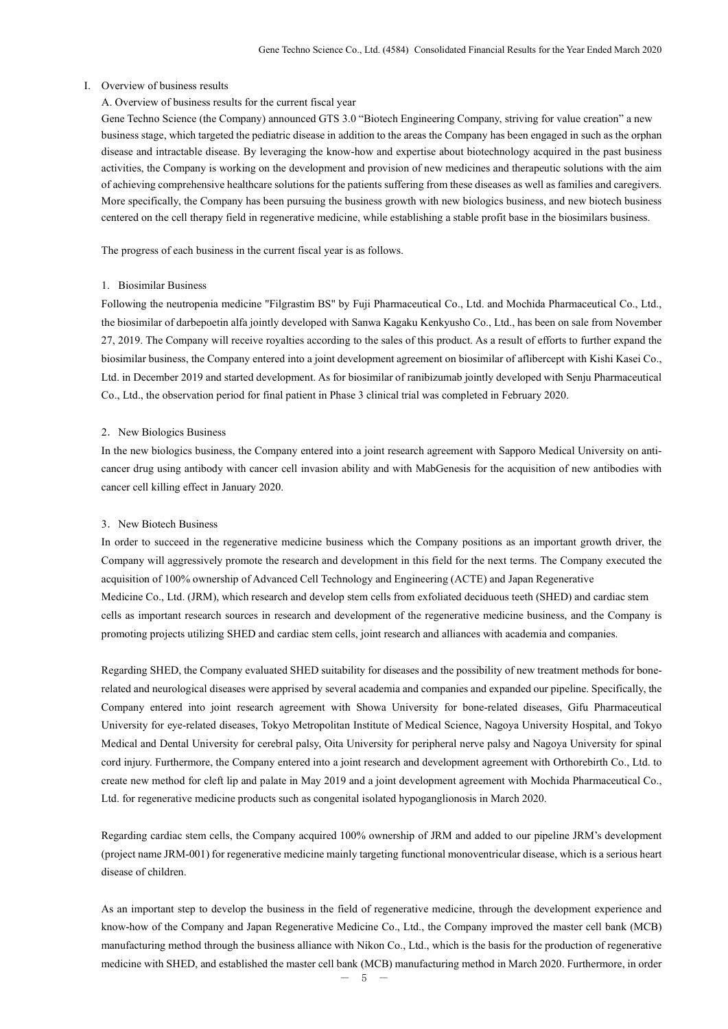#### I. Overview of business results

## A. Overview of business results for the current fiscal year

Gene Techno Science (the Company) announced GTS 3.0 "Biotech Engineering Company, striving for value creation" a new business stage, which targeted the pediatric disease in addition to the areas the Company has been engaged in such as the orphan disease and intractable disease. By leveraging the know-how and expertise about biotechnology acquired in the past business activities, the Company is working on the development and provision of new medicines and therapeutic solutions with the aim of achieving comprehensive healthcare solutions for the patients suffering from these diseases as well as families and caregivers. More specifically, the Company has been pursuing the business growth with new biologics business, and new biotech business centered on the cell therapy field in regenerative medicine, while establishing a stable profit base in the biosimilars business.

The progress of each business in the current fiscal year is as follows.

#### 1. Biosimilar Business

Following the neutropenia medicine "Filgrastim BS" by Fuji Pharmaceutical Co., Ltd. and Mochida Pharmaceutical Co., Ltd., the biosimilar of darbepoetin alfa jointly developed with Sanwa Kagaku Kenkyusho Co., Ltd., has been on sale from November 27, 2019. The Company will receive royalties according to the sales of this product. As a result of efforts to further expand the biosimilar business, the Company entered into a joint development agreement on biosimilar of aflibercept with Kishi Kasei Co., Ltd. in December 2019 and started development. As for biosimilar of ranibizumab jointly developed with Senju Pharmaceutical Co., Ltd., the observation period for final patient in Phase 3 clinical trial was completed in February 2020.

#### 2. New Biologics Business

In the new biologics business, the Company entered into a joint research agreement with Sapporo Medical University on anticancer drug using antibody with cancer cell invasion ability and with MabGenesis for the acquisition of new antibodies with cancer cell killing effect in January 2020.

#### 3.New Biotech Business

In order to succeed in the regenerative medicine business which the Company positions as an important growth driver, the Company will aggressively promote the research and development in this field for the next terms. The Company executed the acquisition of 100% ownership of Advanced Cell Technology and Engineering (ACTE) and Japan Regenerative Medicine Co., Ltd. (JRM), which research and develop stem cells from exfoliated deciduous teeth (SHED) and cardiac stem cells as important research sources in research and development of the regenerative medicine business, and the Company is promoting projects utilizing SHED and cardiac stem cells, joint research and alliances with academia and companies.

Regarding SHED, the Company evaluated SHED suitability for diseases and the possibility of new treatment methods for bonerelated and neurological diseases were apprised by several academia and companies and expanded our pipeline. Specifically, the Company entered into joint research agreement with Showa University for bone-related diseases, Gifu Pharmaceutical University for eye-related diseases, Tokyo Metropolitan Institute of Medical Science, Nagoya University Hospital, and Tokyo Medical and Dental University for cerebral palsy, Oita University for peripheral nerve palsy and Nagoya University for spinal cord injury. Furthermore, the Company entered into a joint research and development agreement with Orthorebirth Co., Ltd. to create new method for cleft lip and palate in May 2019 and a joint development agreement with Mochida Pharmaceutical Co., Ltd. for regenerative medicine products such as congenital isolated hypoganglionosis in March 2020.

Regarding cardiac stem cells, the Company acquired 100% ownership of JRM and added to our pipeline JRM's development (project name JRM-001) for regenerative medicine mainly targeting functional monoventricular disease, which is a serious heart disease of children.

As an important step to develop the business in the field of regenerative medicine, through the development experience and know-how of the Company and Japan Regenerative Medicine Co., Ltd., the Company improved the master cell bank (MCB) manufacturing method through the business alliance with Nikon Co., Ltd., which is the basis for the production of regenerative medicine with SHED, and established the master cell bank (MCB) manufacturing method in March 2020. Furthermore, in order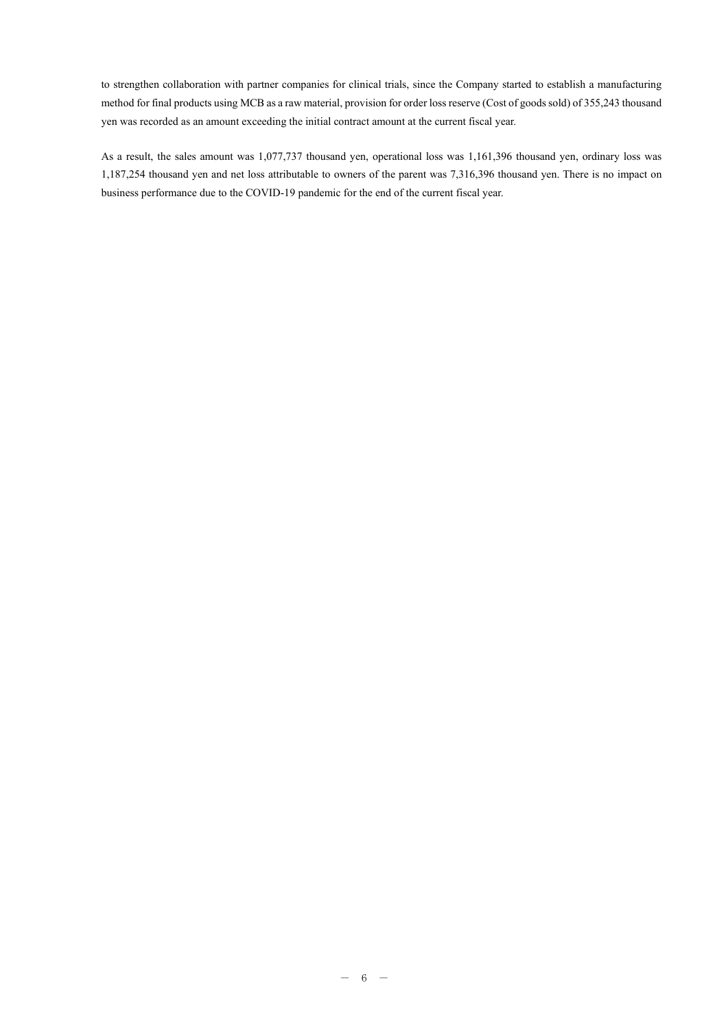to strengthen collaboration with partner companies for clinical trials, since the Company started to establish a manufacturing method for final products using MCB as a raw material, provision for order loss reserve (Cost of goods sold) of 355,243 thousand yen was recorded as an amount exceeding the initial contract amount at the current fiscal year.

As a result, the sales amount was 1,077,737 thousand yen, operational loss was 1,161,396 thousand yen, ordinary loss was 1,187,254 thousand yen and net loss attributable to owners of the parent was 7,316,396 thousand yen. There is no impact on business performance due to the COVID-19 pandemic for the end of the current fiscal year.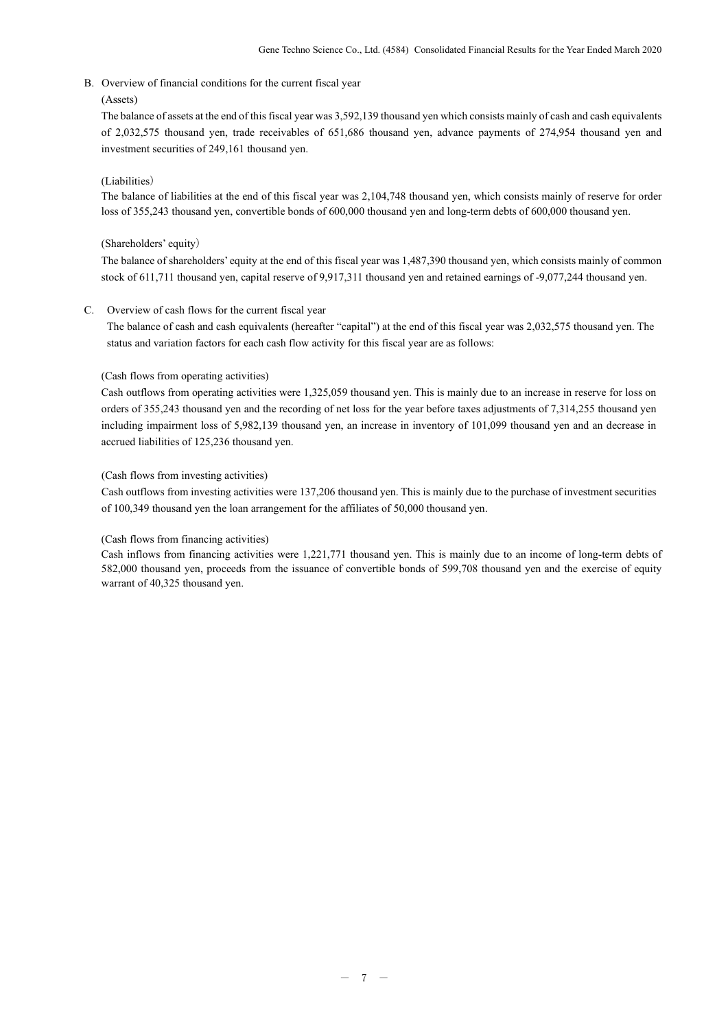B. Overview of financial conditions for the current fiscal year

### (Assets)

The balance of assets at the end of this fiscal year was 3,592,139 thousand yen which consists mainly of cash and cash equivalents of 2,032,575 thousand yen, trade receivables of 651,686 thousand yen, advance payments of 274,954 thousand yen and investment securities of 249,161 thousand yen.

### (Liabilities)

The balance of liabilities at the end of this fiscal year was 2,104,748 thousand yen, which consists mainly of reserve for order loss of 355,243 thousand yen, convertible bonds of 600,000 thousand yen and long-term debts of 600,000 thousand yen.

#### (Shareholders' equity)

The balance of shareholders' equity at the end of this fiscal year was 1,487,390 thousand yen, which consists mainly of common stock of 611,711 thousand yen, capital reserve of 9,917,311 thousand yen and retained earnings of -9,077,244 thousand yen.

#### C. Overview of cash flows for the current fiscal year

 The balance of cash and cash equivalents (hereafter "capital") at the end of this fiscal year was 2,032,575 thousand yen. The status and variation factors for each cash flow activity for this fiscal year are as follows:

#### (Cash flows from operating activities)

Cash outflows from operating activities were 1,325,059 thousand yen. This is mainly due to an increase in reserve for loss on orders of 355,243 thousand yen and the recording of net loss for the year before taxes adjustments of 7,314,255 thousand yen including impairment loss of 5,982,139 thousand yen, an increase in inventory of 101,099 thousand yen and an decrease in accrued liabilities of 125,236 thousand yen.

#### (Cash flows from investing activities)

Cash outflows from investing activities were 137,206 thousand yen. This is mainly due to the purchase of investment securities of 100,349 thousand yen the loan arrangement for the affiliates of 50,000 thousand yen.

### (Cash flows from financing activities)

Cash inflows from financing activities were 1,221,771 thousand yen. This is mainly due to an income of long-term debts of 582,000 thousand yen, proceeds from the issuance of convertible bonds of 599,708 thousand yen and the exercise of equity warrant of 40,325 thousand yen.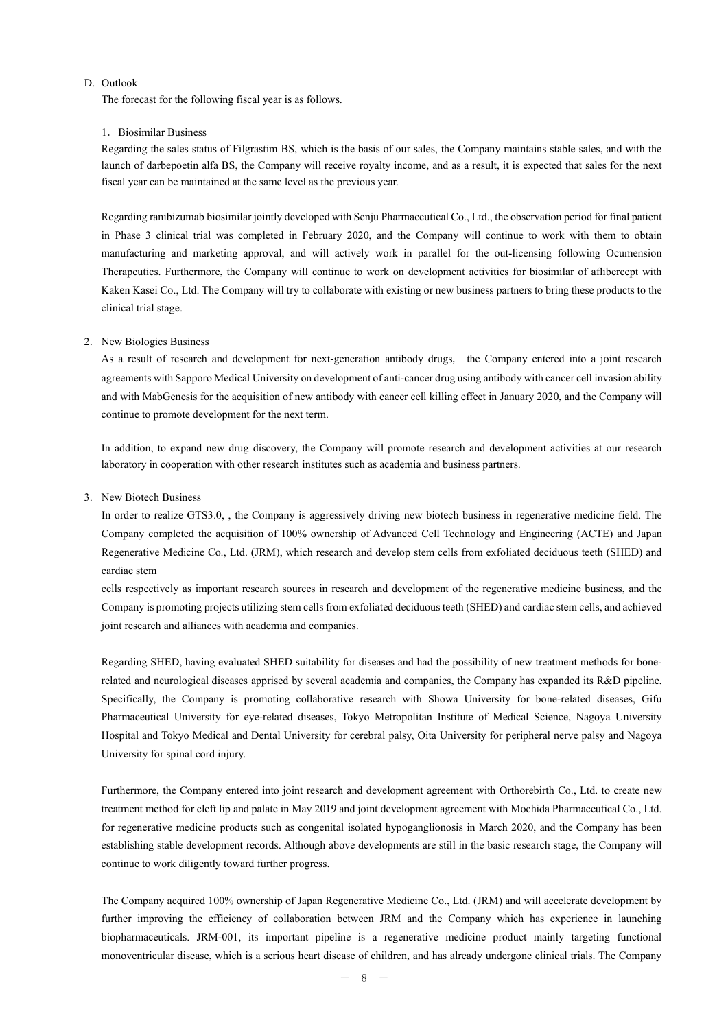#### D. Outlook

The forecast for the following fiscal year is as follows.

#### 1. Biosimilar Business

Regarding the sales status of Filgrastim BS, which is the basis of our sales, the Company maintains stable sales, and with the launch of darbepoetin alfa BS, the Company will receive royalty income, and as a result, it is expected that sales for the next fiscal year can be maintained at the same level as the previous year.

Regarding ranibizumab biosimilar jointly developed with Senju Pharmaceutical Co., Ltd., the observation period for final patient in Phase 3 clinical trial was completed in February 2020, and the Company will continue to work with them to obtain manufacturing and marketing approval, and will actively work in parallel for the out-licensing following Ocumension Therapeutics. Furthermore, the Company will continue to work on development activities for biosimilar of aflibercept with Kaken Kasei Co., Ltd. The Company will try to collaborate with existing or new business partners to bring these products to the clinical trial stage.

#### 2. New Biologics Business

As a result of research and development for next-generation antibody drugs, the Company entered into a joint research agreements with Sapporo Medical University on development of anti-cancer drug using antibody with cancer cell invasion ability and with MabGenesis for the acquisition of new antibody with cancer cell killing effect in January 2020, and the Company will continue to promote development for the next term.

In addition, to expand new drug discovery, the Company will promote research and development activities at our research laboratory in cooperation with other research institutes such as academia and business partners.

#### 3. New Biotech Business

In order to realize GTS3.0, , the Company is aggressively driving new biotech business in regenerative medicine field. The Company completed the acquisition of 100% ownership of Advanced Cell Technology and Engineering (ACTE) and Japan Regenerative Medicine Co., Ltd. (JRM), which research and develop stem cells from exfoliated deciduous teeth (SHED) and cardiac stem

cells respectively as important research sources in research and development of the regenerative medicine business, and the Company is promoting projects utilizing stem cells from exfoliated deciduous teeth (SHED) and cardiac stem cells, and achieved joint research and alliances with academia and companies.

Regarding SHED, having evaluated SHED suitability for diseases and had the possibility of new treatment methods for bonerelated and neurological diseases apprised by several academia and companies, the Company has expanded its R&D pipeline. Specifically, the Company is promoting collaborative research with Showa University for bone-related diseases, Gifu Pharmaceutical University for eye-related diseases, Tokyo Metropolitan Institute of Medical Science, Nagoya University Hospital and Tokyo Medical and Dental University for cerebral palsy, Oita University for peripheral nerve palsy and Nagoya University for spinal cord injury.

Furthermore, the Company entered into joint research and development agreement with Orthorebirth Co., Ltd. to create new treatment method for cleft lip and palate in May 2019 and joint development agreement with Mochida Pharmaceutical Co., Ltd. for regenerative medicine products such as congenital isolated hypoganglionosis in March 2020, and the Company has been establishing stable development records. Although above developments are still in the basic research stage, the Company will continue to work diligently toward further progress.

The Company acquired 100% ownership of Japan Regenerative Medicine Co., Ltd. (JRM) and will accelerate development by further improving the efficiency of collaboration between JRM and the Company which has experience in launching biopharmaceuticals. JRM-001, its important pipeline is a regenerative medicine product mainly targeting functional monoventricular disease, which is a serious heart disease of children, and has already undergone clinical trials. The Company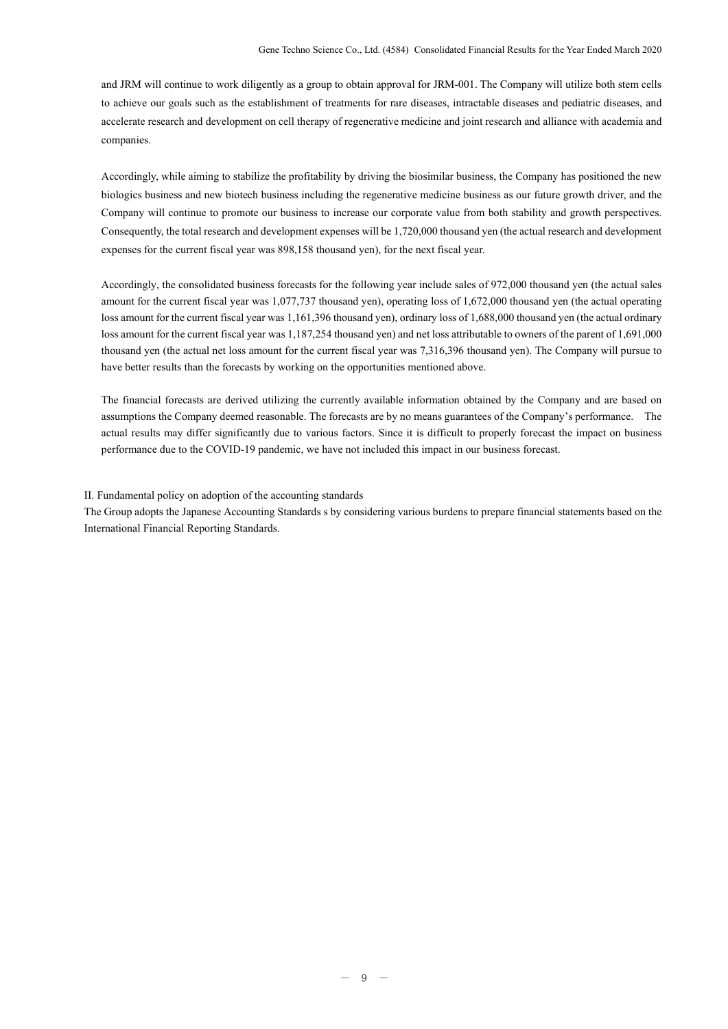and JRM will continue to work diligently as a group to obtain approval for JRM-001. The Company will utilize both stem cells to achieve our goals such as the establishment of treatments for rare diseases, intractable diseases and pediatric diseases, and accelerate research and development on cell therapy of regenerative medicine and joint research and alliance with academia and companies.

Accordingly, while aiming to stabilize the profitability by driving the biosimilar business, the Company has positioned the new biologics business and new biotech business including the regenerative medicine business as our future growth driver, and the Company will continue to promote our business to increase our corporate value from both stability and growth perspectives. Consequently, the total research and development expenses will be 1,720,000 thousand yen (the actual research and development expenses for the current fiscal year was 898,158 thousand yen), for the next fiscal year.

Accordingly, the consolidated business forecasts for the following year include sales of 972,000 thousand yen (the actual sales amount for the current fiscal year was 1,077,737 thousand yen), operating loss of 1,672,000 thousand yen (the actual operating loss amount for the current fiscal year was 1,161,396 thousand yen), ordinary loss of 1,688,000 thousand yen (the actual ordinary loss amount for the current fiscal year was 1,187,254 thousand yen) and net loss attributable to owners of the parent of 1,691,000 thousand yen (the actual net loss amount for the current fiscal year was 7,316,396 thousand yen). The Company will pursue to have better results than the forecasts by working on the opportunities mentioned above.

The financial forecasts are derived utilizing the currently available information obtained by the Company and are based on assumptions the Company deemed reasonable. The forecasts are by no means guarantees of the Company's performance. The actual results may differ significantly due to various factors. Since it is difficult to properly forecast the impact on business performance due to the COVID-19 pandemic, we have not included this impact in our business forecast.

II. Fundamental policy on adoption of the accounting standards

The Group adopts the Japanese Accounting Standards s by considering various burdens to prepare financial statements based on the International Financial Reporting Standards.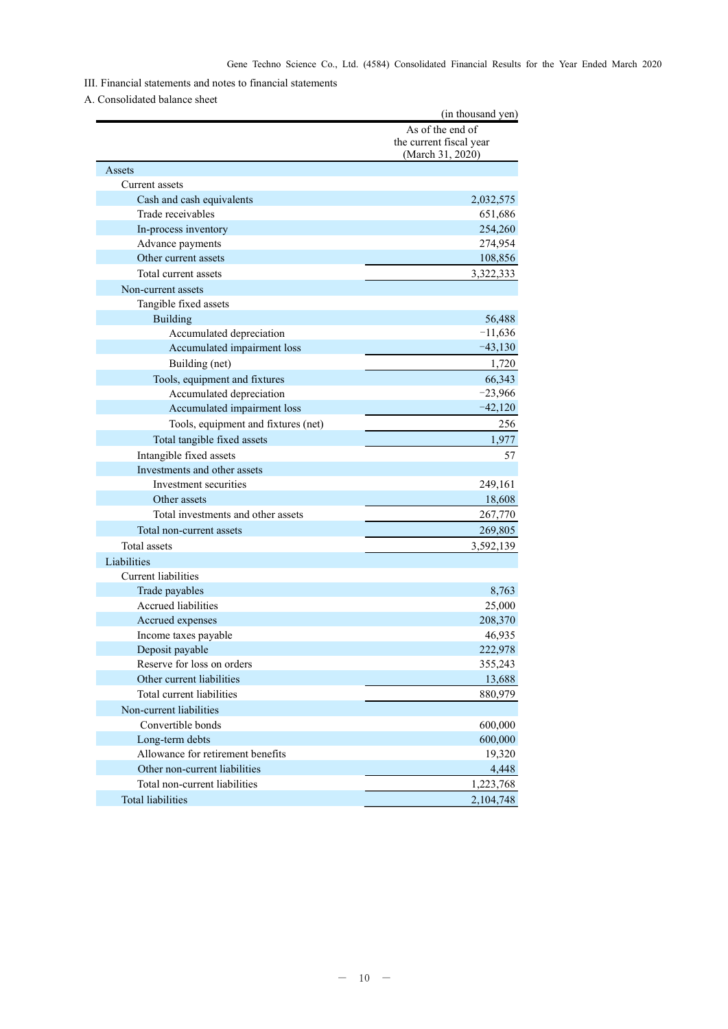# III. Financial statements and notes to financial statements

### A. Consolidated balance sheet

|                                     | (in thousand yen)                                               |
|-------------------------------------|-----------------------------------------------------------------|
|                                     | As of the end of<br>the current fiscal year<br>(March 31, 2020) |
| Assets                              |                                                                 |
| Current assets                      |                                                                 |
| Cash and cash equivalents           | 2,032,575                                                       |
| Trade receivables                   | 651,686                                                         |
| In-process inventory                | 254,260                                                         |
| Advance payments                    | 274,954                                                         |
| Other current assets                | 108,856                                                         |
| Total current assets                | 3,322,333                                                       |
| Non-current assets                  |                                                                 |
| Tangible fixed assets               |                                                                 |
| Building                            | 56,488                                                          |
| Accumulated depreciation            | $-11,636$                                                       |
| Accumulated impairment loss         | $-43,130$                                                       |
| Building (net)                      | 1,720                                                           |
| Tools, equipment and fixtures       | 66,343                                                          |
| Accumulated depreciation            | $-23,966$                                                       |
| Accumulated impairment loss         | $-42,120$                                                       |
| Tools, equipment and fixtures (net) | 256                                                             |
| Total tangible fixed assets         | 1,977                                                           |
| Intangible fixed assets             | 57                                                              |
| Investments and other assets        |                                                                 |
| Investment securities               | 249,161                                                         |
| Other assets                        | 18,608                                                          |
| Total investments and other assets  | 267,770                                                         |
| Total non-current assets            | 269,805                                                         |
| Total assets                        | 3,592,139                                                       |
| Liabilities                         |                                                                 |
| Current liabilities                 |                                                                 |
| Trade payables                      | 8,763                                                           |
| Accrued liabilities                 | 25,000                                                          |
| Accrued expenses                    | 208,370                                                         |
| Income taxes payable                | 46,935                                                          |
| Deposit payable                     | 222,978                                                         |
| Reserve for loss on orders          | 355,243                                                         |
| Other current liabilities           | 13,688                                                          |
| Total current liabilities           | 880,979                                                         |
| Non-current liabilities             |                                                                 |
| Convertible bonds                   | 600,000                                                         |
| Long-term debts                     | 600,000                                                         |
| Allowance for retirement benefits   | 19,320                                                          |
| Other non-current liabilities       | 4,448                                                           |
| Total non-current liabilities       | 1,223,768                                                       |
| <b>Total liabilities</b>            | 2,104,748                                                       |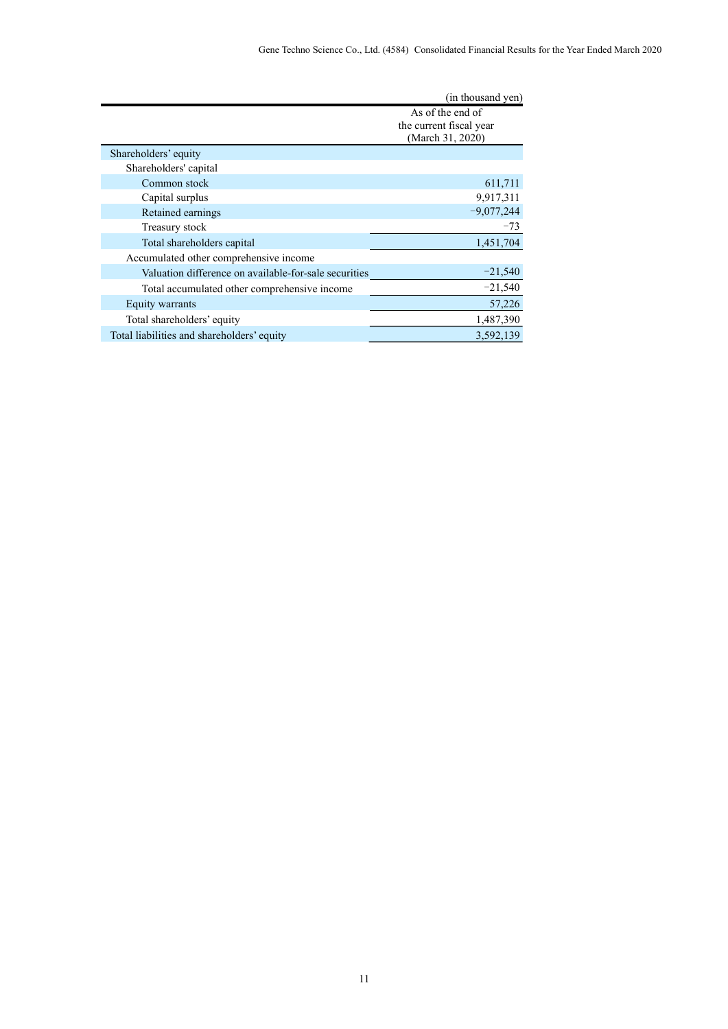|                                                       | (in thousand yen)                                               |
|-------------------------------------------------------|-----------------------------------------------------------------|
|                                                       | As of the end of<br>the current fiscal year<br>(March 31, 2020) |
| Shareholders' equity                                  |                                                                 |
| Shareholders' capital                                 |                                                                 |
| Common stock                                          | 611,711                                                         |
| Capital surplus                                       | 9,917,311                                                       |
| Retained earnings                                     | $-9,077,244$                                                    |
| Treasury stock                                        | $-73$                                                           |
| Total shareholders capital                            | 1,451,704                                                       |
| Accumulated other comprehensive income                |                                                                 |
| Valuation difference on available-for-sale securities | $-21,540$                                                       |
| Total accumulated other comprehensive income          | $-21,540$                                                       |
| Equity warrants                                       | 57,226                                                          |
| Total shareholders' equity                            | 1,487,390                                                       |
| Total liabilities and shareholders' equity            | 3,592,139                                                       |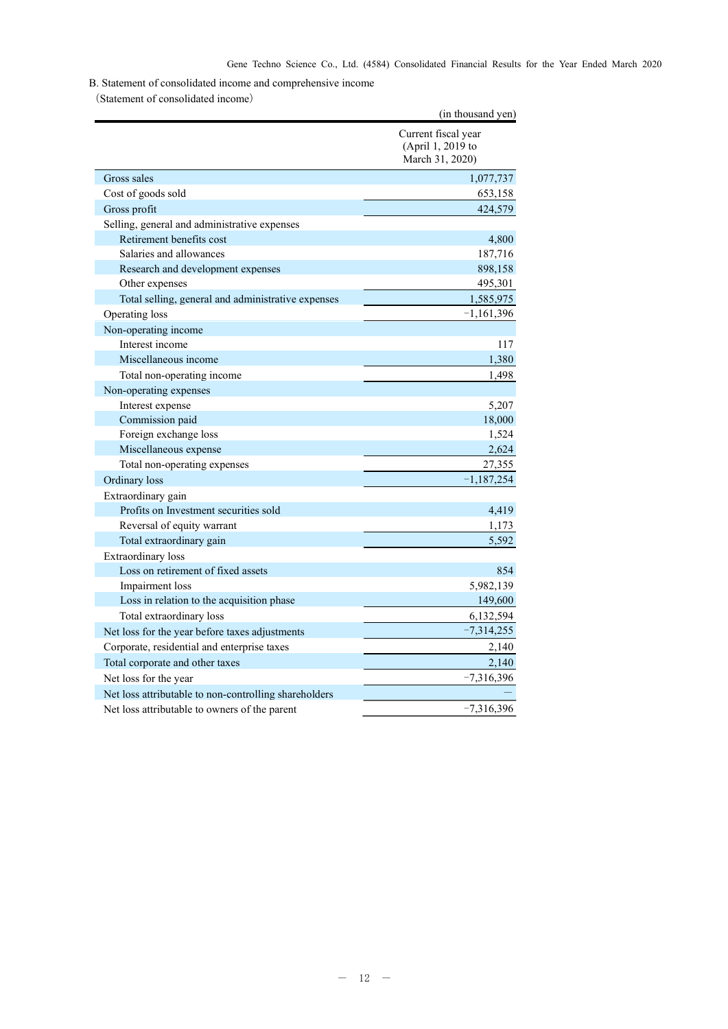B. Statement of consolidated income and comprehensive income

(Statement of consolidated income)

|                                                       | (in thousand yen)                                           |
|-------------------------------------------------------|-------------------------------------------------------------|
|                                                       | Current fiscal year<br>(April 1, 2019 to<br>March 31, 2020) |
| Gross sales                                           | 1,077,737                                                   |
| Cost of goods sold                                    | 653,158                                                     |
| Gross profit                                          | 424,579                                                     |
| Selling, general and administrative expenses          |                                                             |
| Retirement benefits cost                              | 4,800                                                       |
| Salaries and allowances                               | 187,716                                                     |
| Research and development expenses                     | 898,158                                                     |
| Other expenses                                        | 495,301                                                     |
| Total selling, general and administrative expenses    | 1,585,975                                                   |
| Operating loss                                        | $-1,161,396$                                                |
| Non-operating income                                  |                                                             |
| Interest income                                       | 117                                                         |
| Miscellaneous income                                  | 1,380                                                       |
| Total non-operating income                            | 1,498                                                       |
| Non-operating expenses                                |                                                             |
| Interest expense                                      | 5,207                                                       |
| Commission paid                                       | 18,000                                                      |
| Foreign exchange loss                                 | 1,524                                                       |
| Miscellaneous expense                                 | 2,624                                                       |
| Total non-operating expenses                          | 27,355                                                      |
| Ordinary loss                                         | $-1,187,254$                                                |
| Extraordinary gain                                    |                                                             |
| Profits on Investment securities sold                 | 4,419                                                       |
| Reversal of equity warrant                            | 1,173                                                       |
| Total extraordinary gain                              | 5,592                                                       |
| <b>Extraordinary</b> loss                             |                                                             |
| Loss on retirement of fixed assets                    | 854                                                         |
| Impairment loss                                       | 5,982,139                                                   |
| Loss in relation to the acquisition phase             | 149,600                                                     |
| Total extraordinary loss                              | 6,132,594                                                   |
| Net loss for the year before taxes adjustments        | $-7,314,255$                                                |
| Corporate, residential and enterprise taxes           | 2,140                                                       |
| Total corporate and other taxes                       | 2,140                                                       |
| Net loss for the year                                 | $-7,316,396$                                                |
| Net loss attributable to non-controlling shareholders |                                                             |
| Net loss attributable to owners of the parent         | $-7,316,396$                                                |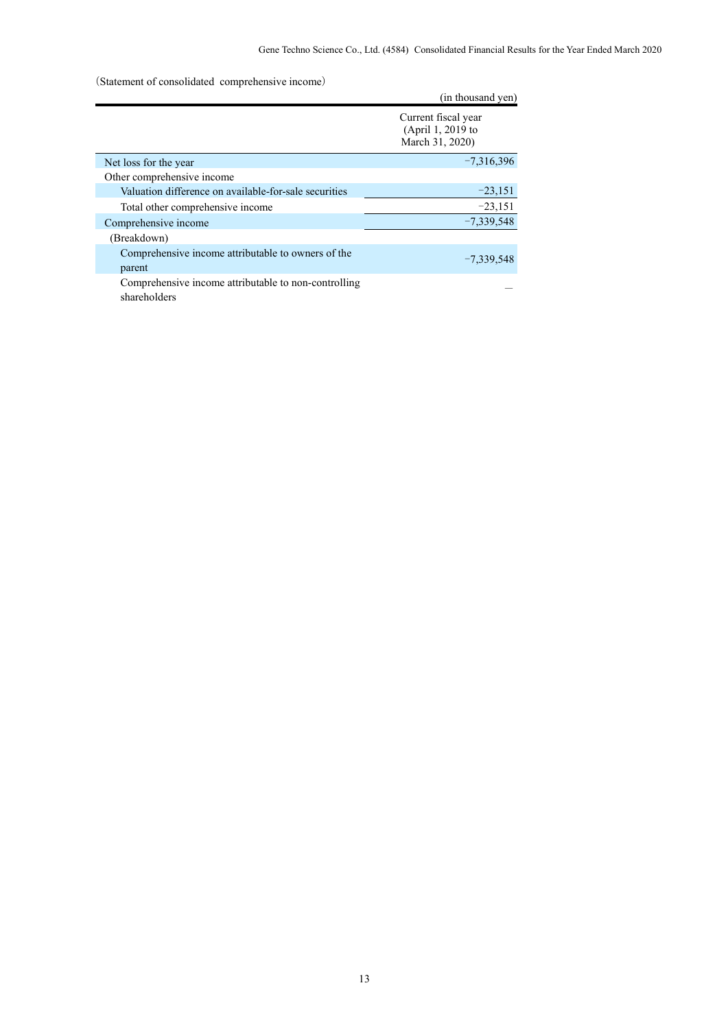(Statement of consolidated comprehensive income)

|                                                                      | (in thousand yen)                                           |
|----------------------------------------------------------------------|-------------------------------------------------------------|
|                                                                      | Current fiscal year<br>(April 1, 2019 to<br>March 31, 2020) |
| Net loss for the year                                                | $-7,316,396$                                                |
| Other comprehensive income                                           |                                                             |
| Valuation difference on available-for-sale securities                | $-23,151$                                                   |
| Total other comprehensive income                                     | $-23,151$                                                   |
| Comprehensive income                                                 | $-7,339,548$                                                |
| (Breakdown)                                                          |                                                             |
| Comprehensive income attributable to owners of the<br>parent         | $-7,339,548$                                                |
| Comprehensive income attributable to non-controlling<br>shareholders |                                                             |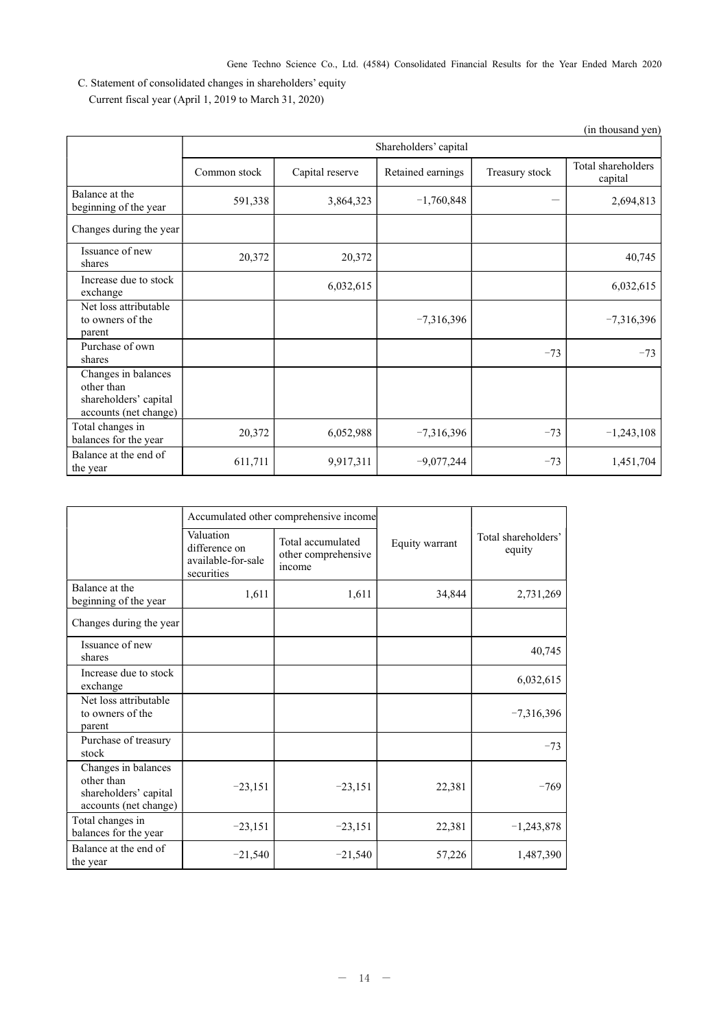Gene Techno Science Co., Ltd. (4584) Consolidated Financial Results for the Year Ended March 2020

C. Statement of consolidated changes in shareholders' equity Current fiscal year (April 1, 2019 to March 31, 2020)

|                                                                                     |                       |                 |                   |                | (in thousand yen)             |
|-------------------------------------------------------------------------------------|-----------------------|-----------------|-------------------|----------------|-------------------------------|
|                                                                                     | Shareholders' capital |                 |                   |                |                               |
|                                                                                     | Common stock          | Capital reserve | Retained earnings | Treasury stock | Total shareholders<br>capital |
| Balance at the<br>beginning of the year                                             | 591,338               | 3,864,323       | $-1,760,848$      |                | 2,694,813                     |
| Changes during the year                                                             |                       |                 |                   |                |                               |
| Issuance of new<br>shares                                                           | 20,372                | 20,372          |                   |                | 40,745                        |
| Increase due to stock<br>exchange                                                   |                       | 6,032,615       |                   |                | 6,032,615                     |
| Net loss attributable<br>to owners of the<br>parent                                 |                       |                 | $-7,316,396$      |                | $-7,316,396$                  |
| Purchase of own<br>shares                                                           |                       |                 |                   | $-73$          | $-73$                         |
| Changes in balances<br>other than<br>shareholders' capital<br>accounts (net change) |                       |                 |                   |                |                               |
| Total changes in<br>balances for the year                                           | 20,372                | 6,052,988       | $-7,316,396$      | $-73$          | $-1,243,108$                  |
| Balance at the end of<br>the year                                                   | 611,711               | 9,917,311       | $-9,077,244$      | $-73$          | 1,451,704                     |

|                                                                                     |                                                                | Accumulated other comprehensive income             |                |                               |
|-------------------------------------------------------------------------------------|----------------------------------------------------------------|----------------------------------------------------|----------------|-------------------------------|
|                                                                                     | Valuation<br>difference on<br>available-for-sale<br>securities | Total accumulated<br>other comprehensive<br>income | Equity warrant | Total shareholders'<br>equity |
| Balance at the<br>beginning of the year                                             | 1,611                                                          | 1,611                                              | 34,844         | 2,731,269                     |
| Changes during the year                                                             |                                                                |                                                    |                |                               |
| Issuance of new<br>shares                                                           |                                                                |                                                    |                | 40,745                        |
| Increase due to stock<br>exchange                                                   |                                                                |                                                    |                | 6,032,615                     |
| Net loss attributable<br>to owners of the<br>parent                                 |                                                                |                                                    |                | $-7,316,396$                  |
| Purchase of treasury<br>stock                                                       |                                                                |                                                    |                | $-73$                         |
| Changes in balances<br>other than<br>shareholders' capital<br>accounts (net change) | $-23,151$                                                      | $-23,151$                                          | 22,381         | $-769$                        |
| Total changes in<br>balances for the year                                           | $-23,151$                                                      | $-23,151$                                          | 22,381         | $-1,243,878$                  |
| Balance at the end of<br>the year                                                   | $-21,540$                                                      | $-21,540$                                          | 57,226         | 1,487,390                     |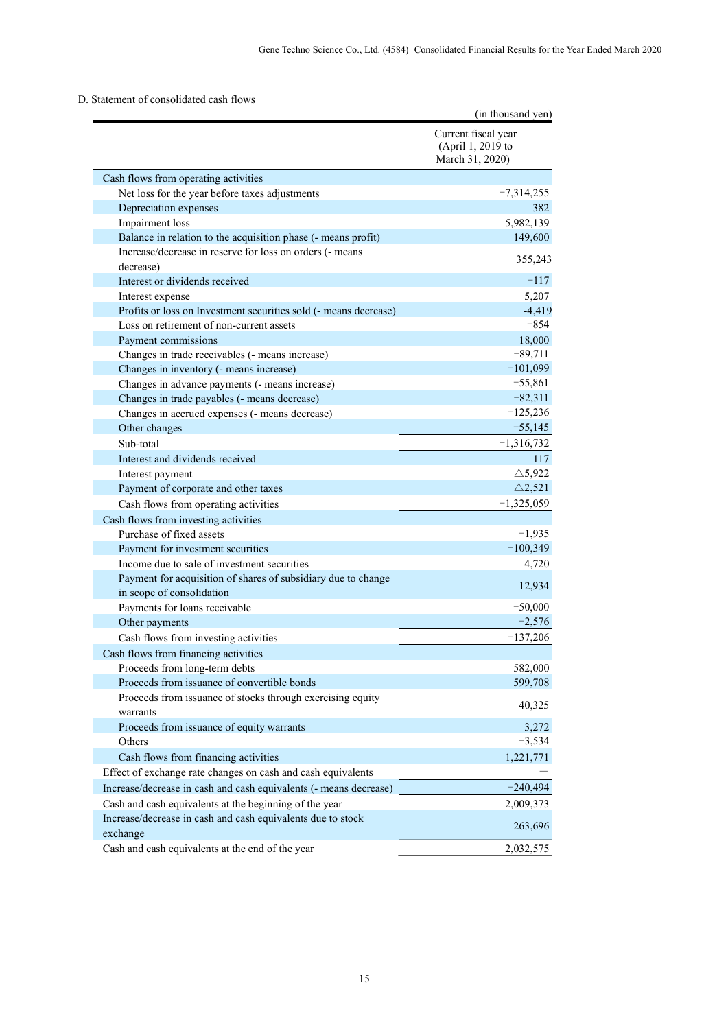# D. Statement of consolidated cash flows

|                                                                                  | (in thousand yen)                                           |
|----------------------------------------------------------------------------------|-------------------------------------------------------------|
|                                                                                  | Current fiscal year<br>(April 1, 2019 to<br>March 31, 2020) |
| Cash flows from operating activities                                             |                                                             |
| Net loss for the year before taxes adjustments                                   | $-7,314,255$                                                |
| Depreciation expenses                                                            | 382                                                         |
| Impairment loss                                                                  | 5,982,139                                                   |
| Balance in relation to the acquisition phase (- means profit)                    | 149,600                                                     |
| Increase/decrease in reserve for loss on orders (- means                         | 355,243                                                     |
| decrease)                                                                        |                                                             |
| Interest or dividends received                                                   | $-117$                                                      |
| Interest expense                                                                 | 5,207                                                       |
| Profits or loss on Investment securities sold (- means decrease)                 | $-4,419$                                                    |
| Loss on retirement of non-current assets                                         | $-854$                                                      |
| Payment commissions                                                              | 18,000                                                      |
| Changes in trade receivables (- means increase)                                  | $-89,711$                                                   |
| Changes in inventory (- means increase)                                          | $-101,099$                                                  |
| Changes in advance payments (- means increase)                                   | $-55,861$                                                   |
| Changes in trade payables (- means decrease)                                     | $-82,311$                                                   |
| Changes in accrued expenses (- means decrease)                                   | $-125,236$<br>$-55,145$                                     |
| Other changes                                                                    |                                                             |
| Sub-total                                                                        | $-1,316,732$                                                |
| Interest and dividends received                                                  | 117                                                         |
| Interest payment                                                                 | $\triangle$ 5,922<br>$\triangle$ 2,521                      |
| Payment of corporate and other taxes                                             |                                                             |
| Cash flows from operating activities                                             | $-1,325,059$                                                |
| Cash flows from investing activities                                             |                                                             |
| Purchase of fixed assets                                                         | $-1,935$<br>$-100,349$                                      |
| Payment for investment securities<br>Income due to sale of investment securities |                                                             |
| Payment for acquisition of shares of subsidiary due to change                    | 4,720                                                       |
| in scope of consolidation                                                        | 12,934                                                      |
| Payments for loans receivable                                                    | $-50,000$                                                   |
| Other payments                                                                   | $-2,576$                                                    |
| Cash flows from investing activities                                             | $-137,206$                                                  |
| Cash flows from financing activities                                             |                                                             |
| Proceeds from long-term debts                                                    | 582,000                                                     |
| Proceeds from issuance of convertible bonds                                      | 599,708                                                     |
| Proceeds from issuance of stocks through exercising equity                       |                                                             |
| warrants                                                                         | 40,325                                                      |
| Proceeds from issuance of equity warrants                                        | 3,272                                                       |
| Others                                                                           | $-3,534$                                                    |
| Cash flows from financing activities                                             | 1,221,771                                                   |
| Effect of exchange rate changes on cash and cash equivalents                     |                                                             |
| Increase/decrease in cash and cash equivalents (- means decrease)                | $-240,494$                                                  |
| Cash and cash equivalents at the beginning of the year                           | 2,009,373                                                   |
| Increase/decrease in cash and cash equivalents due to stock                      |                                                             |
| exchange                                                                         | 263,696                                                     |
| Cash and cash equivalents at the end of the year                                 | 2,032,575                                                   |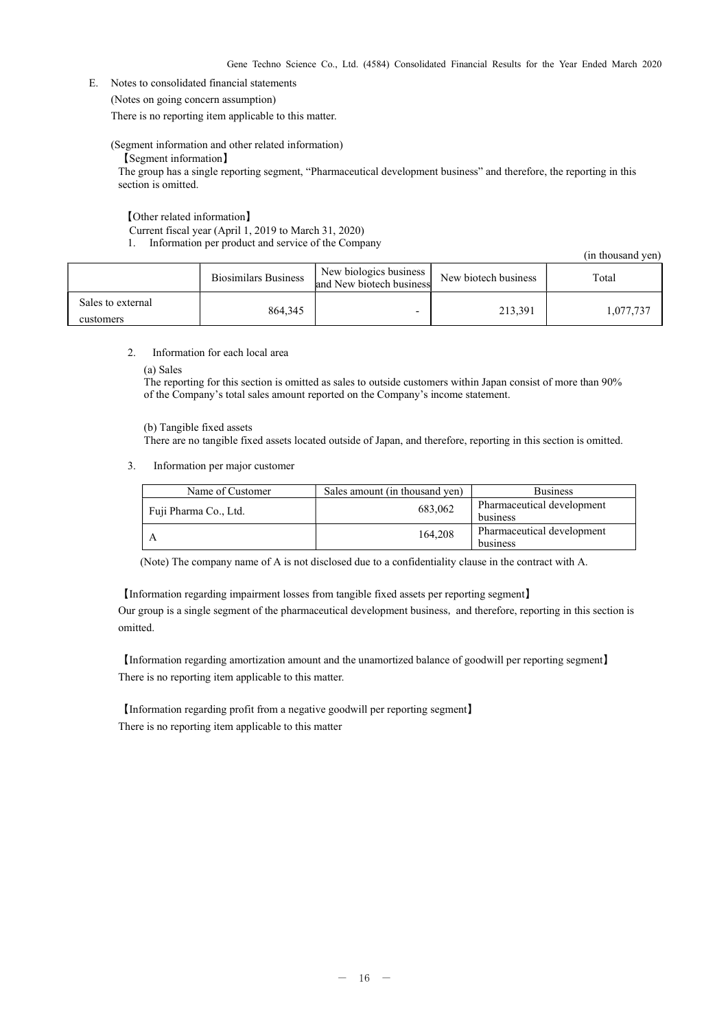E. Notes to consolidated financial statements

(Notes on going concern assumption)

There is no reporting item applicable to this matter.

(Segment information and other related information)

【Segment information】

The group has a single reporting segment, "Pharmaceutical development business" and therefore, the reporting in this section is omitted.

【Other related information】

Current fiscal year (April 1, 2019 to March 31, 2020)

1. Information per product and service of the Company

(in thousand yen)

|                                | <b>Biosimilars Business</b> | New biologics business  <br>and New biotech business | New biotech business | Total     |
|--------------------------------|-----------------------------|------------------------------------------------------|----------------------|-----------|
| Sales to external<br>customers | 864,345                     | -                                                    | 213.391              | 1,077,737 |

#### 2. Information for each local area

(a) Sales

The reporting for this section is omitted as sales to outside customers within Japan consist of more than 90% of the Company's total sales amount reported on the Company's income statement.

(b) Tangible fixed assets

There are no tangible fixed assets located outside of Japan, and therefore, reporting in this section is omitted.

3. Information per major customer

| Name of Customer      | Sales amount (in thousand yen) | <b>Business</b>            |
|-----------------------|--------------------------------|----------------------------|
| Fuji Pharma Co., Ltd. | 683,062                        | Pharmaceutical development |
|                       |                                | business                   |
|                       | 164,208                        | Pharmaceutical development |
|                       |                                | business                   |

(Note) The company name of A is not disclosed due to a confidentiality clause in the contract with A.

【Information regarding impairment losses from tangible fixed assets per reporting segment】 Our group is a single segment of the pharmaceutical development business, and therefore, reporting in this section is omitted.

【Information regarding amortization amount and the unamortized balance of goodwill per reporting segment】 There is no reporting item applicable to this matter.

【Information regarding profit from a negative goodwill per reporting segment】 There is no reporting item applicable to this matter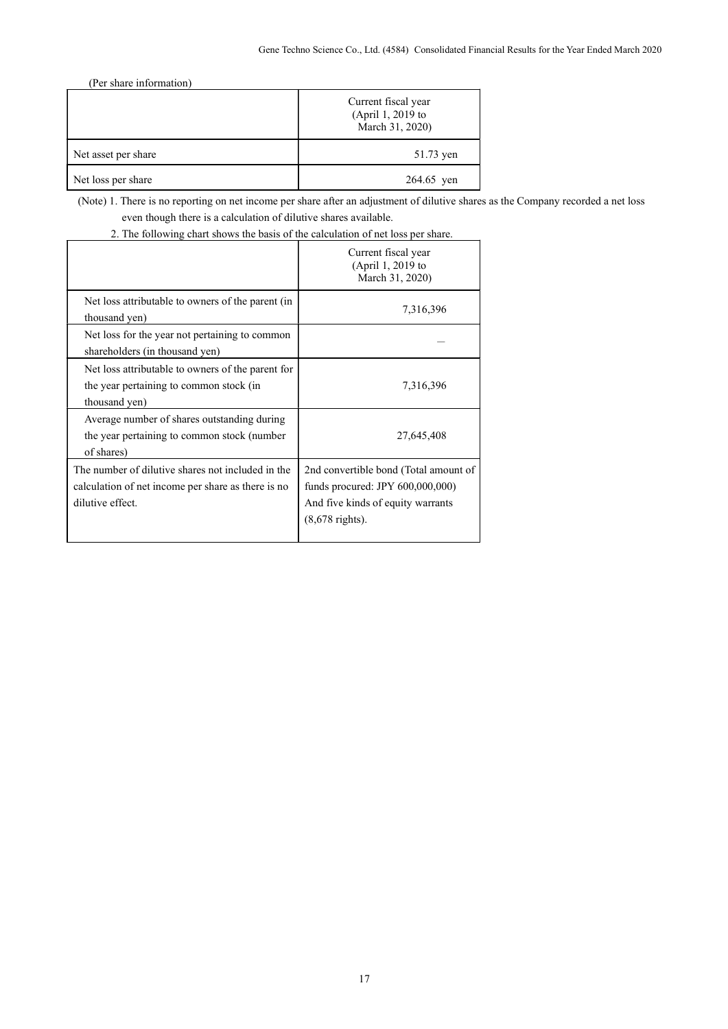(Per share information)

|                     | Current fiscal year<br>(April 1, 2019 to<br>March 31, 2020) |
|---------------------|-------------------------------------------------------------|
| Net asset per share | 51.73 yen                                                   |
| Net loss per share  | 264.65 yen                                                  |

(Note) 1. There is no reporting on net income per share after an adjustment of dilutive shares as the Company recorded a net loss even though there is a calculation of dilutive shares available.

2. The following chart shows the basis of the calculation of net loss per share.

|                                                                                                                             | Current fiscal year<br>(April 1, 2019 to<br>March 31, 2020)                                                                                 |
|-----------------------------------------------------------------------------------------------------------------------------|---------------------------------------------------------------------------------------------------------------------------------------------|
| Net loss attributable to owners of the parent (in<br>thousand yen)                                                          | 7,316,396                                                                                                                                   |
| Net loss for the year not pertaining to common<br>shareholders (in thousand yen)                                            |                                                                                                                                             |
| Net loss attributable to owners of the parent for<br>the year pertaining to common stock (in<br>thousand yen)               | 7,316,396                                                                                                                                   |
| Average number of shares outstanding during<br>the year pertaining to common stock (number<br>of shares)                    | 27,645,408                                                                                                                                  |
| The number of dilutive shares not included in the<br>calculation of net income per share as there is no<br>dilutive effect. | 2nd convertible bond (Total amount of<br>funds procured: JPY 600,000,000)<br>And five kinds of equity warrants<br>$(8,678 \text{ rights}).$ |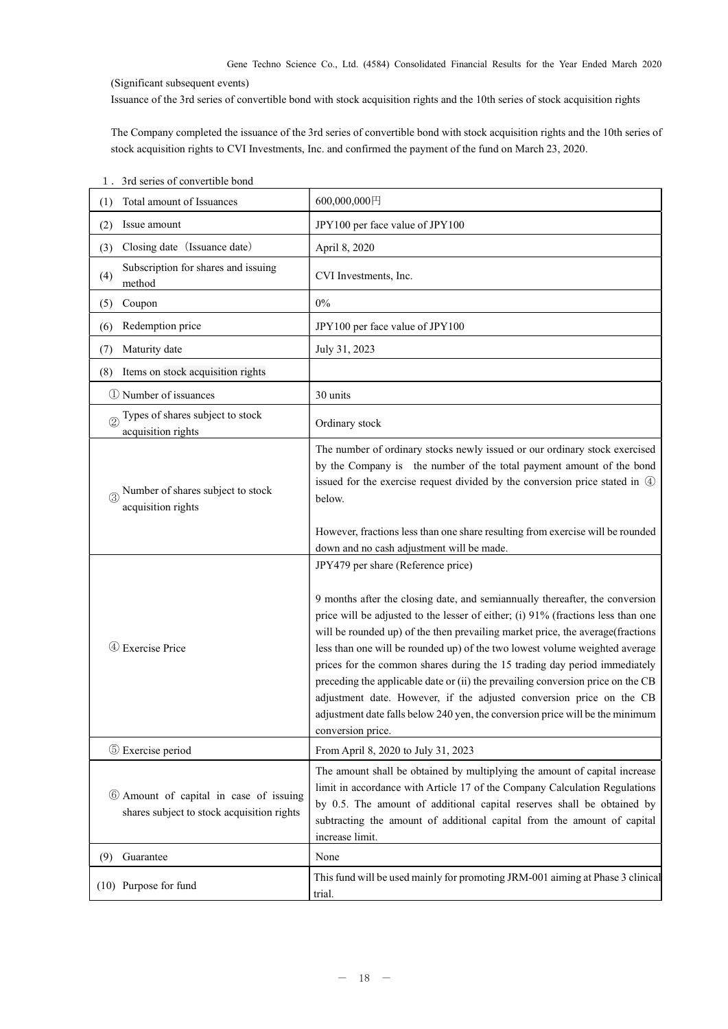Gene Techno Science Co., Ltd. (4584) Consolidated Financial Results for the Year Ended March 2020

(Significant subsequent events)

Issuance of the 3rd series of convertible bond with stock acquisition rights and the 10th series of stock acquisition rights

The Company completed the issuance of the 3rd series of convertible bond with stock acquisition rights and the 10th series of stock acquisition rights to CVI Investments, Inc. and confirmed the payment of the fund on March 23, 2020.

| Total amount of Issuances<br>(1)                                                     | 600,000,000円                                                                                                                                                                                                                                                                                                                                                                                                                                                                                                                                                                                                                                                                                                          |
|--------------------------------------------------------------------------------------|-----------------------------------------------------------------------------------------------------------------------------------------------------------------------------------------------------------------------------------------------------------------------------------------------------------------------------------------------------------------------------------------------------------------------------------------------------------------------------------------------------------------------------------------------------------------------------------------------------------------------------------------------------------------------------------------------------------------------|
| (2)<br>Issue amount                                                                  | JPY100 per face value of JPY100                                                                                                                                                                                                                                                                                                                                                                                                                                                                                                                                                                                                                                                                                       |
| Closing date (Issuance date)<br>(3)                                                  | April 8, 2020                                                                                                                                                                                                                                                                                                                                                                                                                                                                                                                                                                                                                                                                                                         |
| Subscription for shares and issuing<br>(4)<br>method                                 | CVI Investments, Inc.                                                                                                                                                                                                                                                                                                                                                                                                                                                                                                                                                                                                                                                                                                 |
| Coupon<br>(5)                                                                        | $0\%$                                                                                                                                                                                                                                                                                                                                                                                                                                                                                                                                                                                                                                                                                                                 |
| Redemption price<br>(6)                                                              | JPY100 per face value of JPY100                                                                                                                                                                                                                                                                                                                                                                                                                                                                                                                                                                                                                                                                                       |
| Maturity date<br>(7)                                                                 | July 31, 2023                                                                                                                                                                                                                                                                                                                                                                                                                                                                                                                                                                                                                                                                                                         |
| Items on stock acquisition rights<br>(8)                                             |                                                                                                                                                                                                                                                                                                                                                                                                                                                                                                                                                                                                                                                                                                                       |
| 1 Number of issuances                                                                | 30 units                                                                                                                                                                                                                                                                                                                                                                                                                                                                                                                                                                                                                                                                                                              |
| Types of shares subject to stock<br>acquisition rights                               | Ordinary stock                                                                                                                                                                                                                                                                                                                                                                                                                                                                                                                                                                                                                                                                                                        |
| Number of shares subject to stock<br>acquisition rights                              | The number of ordinary stocks newly issued or our ordinary stock exercised<br>by the Company is the number of the total payment amount of the bond<br>issued for the exercise request divided by the conversion price stated in 4<br>below.                                                                                                                                                                                                                                                                                                                                                                                                                                                                           |
|                                                                                      | However, fractions less than one share resulting from exercise will be rounded<br>down and no cash adjustment will be made.                                                                                                                                                                                                                                                                                                                                                                                                                                                                                                                                                                                           |
| 4 Exercise Price                                                                     | JPY479 per share (Reference price)<br>9 months after the closing date, and semiannually thereafter, the conversion<br>price will be adjusted to the lesser of either; (i) 91% (fractions less than one<br>will be rounded up) of the then prevailing market price, the average(fractions<br>less than one will be rounded up) of the two lowest volume weighted average<br>prices for the common shares during the 15 trading day period immediately<br>preceding the applicable date or (ii) the prevailing conversion price on the CB<br>adjustment date. However, if the adjusted conversion price on the CB<br>adjustment date falls below 240 yen, the conversion price will be the minimum<br>conversion price. |
| 5 Exercise period                                                                    | From April 8, 2020 to July 31, 2023                                                                                                                                                                                                                                                                                                                                                                                                                                                                                                                                                                                                                                                                                   |
| 6 Amount of capital in case of issuing<br>shares subject to stock acquisition rights | The amount shall be obtained by multiplying the amount of capital increase<br>limit in accordance with Article 17 of the Company Calculation Regulations<br>by 0.5. The amount of additional capital reserves shall be obtained by<br>subtracting the amount of additional capital from the amount of capital<br>increase limit.                                                                                                                                                                                                                                                                                                                                                                                      |
| Guarantee<br>(9)                                                                     | None                                                                                                                                                                                                                                                                                                                                                                                                                                                                                                                                                                                                                                                                                                                  |
| (10) Purpose for fund                                                                | This fund will be used mainly for promoting JRM-001 aiming at Phase 3 clinical<br>trial.                                                                                                                                                                                                                                                                                                                                                                                                                                                                                                                                                                                                                              |

1.3rd series of convertible bond